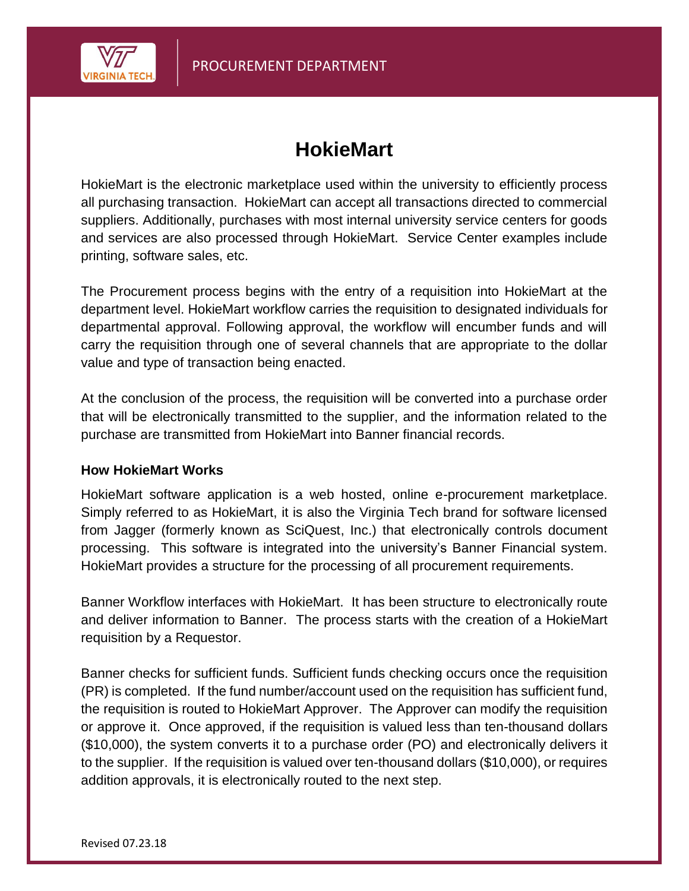

## **HokieMart**

HokieMart is the electronic marketplace used within the university to efficiently process all purchasing transaction. HokieMart can accept all transactions directed to commercial suppliers. Additionally, purchases with most internal university service centers for goods and services are also processed through HokieMart. Service Center examples include printing, software sales, etc.

The Procurement process begins with the entry of a requisition into HokieMart at the department level. HokieMart workflow carries the requisition to designated individuals for departmental approval. Following approval, the workflow will encumber funds and will carry the requisition through one of several channels that are appropriate to the dollar value and type of transaction being enacted.

At the conclusion of the process, the requisition will be converted into a purchase order that will be electronically transmitted to the supplier, and the information related to the purchase are transmitted from HokieMart into Banner financial records.

## **How HokieMart Works**

HokieMart software application is a web hosted, online e-procurement marketplace. Simply referred to as HokieMart, it is also the Virginia Tech brand for software licensed from Jagger (formerly known as SciQuest, Inc.) that electronically controls document processing. This software is integrated into the university's Banner Financial system. HokieMart provides a structure for the processing of all procurement requirements.

Banner Workflow interfaces with HokieMart. It has been structure to electronically route and deliver information to Banner. The process starts with the creation of a HokieMart requisition by a Requestor.

Banner checks for sufficient funds. Sufficient funds checking occurs once the requisition (PR) is completed. If the fund number/account used on the requisition has sufficient fund, the requisition is routed to HokieMart Approver. The Approver can modify the requisition or approve it. Once approved, if the requisition is valued less than ten-thousand dollars (\$10,000), the system converts it to a purchase order (PO) and electronically delivers it to the supplier. If the requisition is valued over ten-thousand dollars (\$10,000), or requires addition approvals, it is electronically routed to the next step.